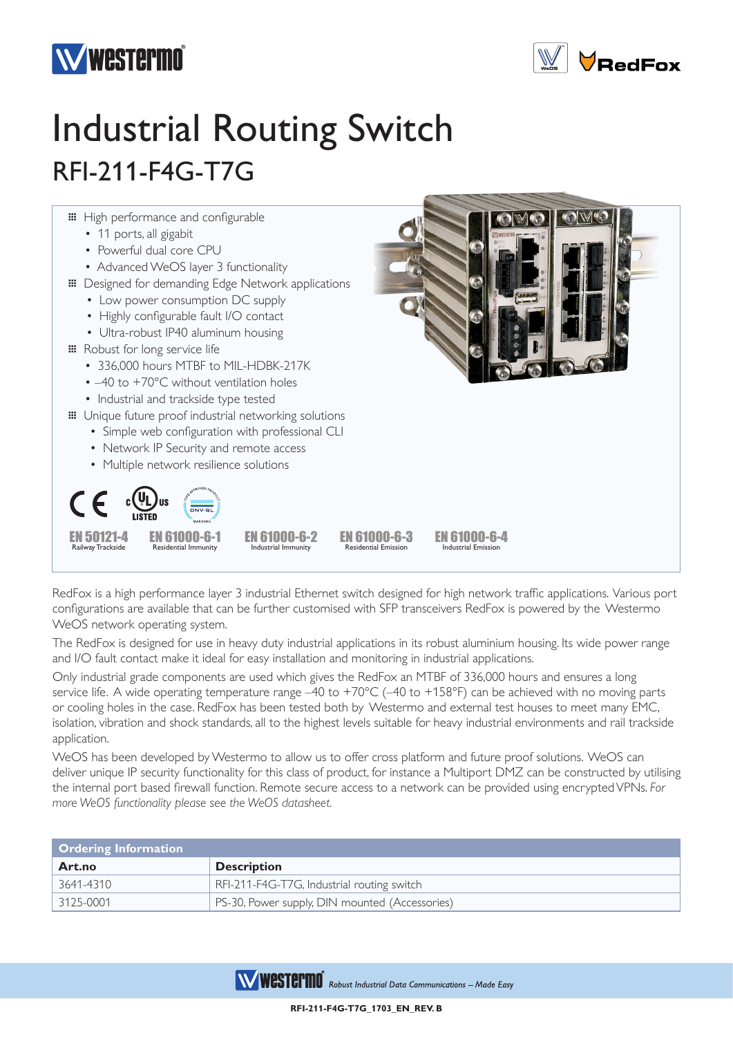



## Industrial Routing Switch RFI-211-F4G-T7G



RedFox is a high performance layer 3 industrial Ethernet switch designed for high network traffic applications. Various port configurations are available that can be further customised with SFP transceivers RedFox is powered by the Westermo WeOS network operating system.

The RedFox is designed for use in heavy duty industrial applications in its robust aluminium housing. Its wide power range and I/O fault contact make it ideal for easy installation and monitoring in industrial applications.

Only industrial grade components are used which gives the RedFox an MTBF of 336,000 hours and ensures a long service life. A wide operating temperature range -40 to +70°C (-40 to +158°F) can be achieved with no moving parts or cooling holes in the case. RedFox has been tested both by Westermo and external test houses to meet many EMC, isolation, vibration and shock standards, all to the highest levels suitable for heavy industrial environments and rail trackside application.

WeOS has been developed by Westermo to allow us to offer cross platform and future proof solutions. WeOS can deliver unique IP security functionality for this class of product, for instance a Multiport DMZ can be constructed by utilising the internal port based firewall function. Remote secure access to a network can be provided using encrypted VPNs. *For more WeOS functionality please see the WeOS datasheet.*

| <b>Ordering Information</b> |                                                |
|-----------------------------|------------------------------------------------|
| Art.no                      | <b>Description</b>                             |
| 3641-4310                   | RFI-211-F4G-T7G, Industrial routing switch     |
| $\mid$ 3125-0001            | PS-30, Power supply, DIN mounted (Accessories) |